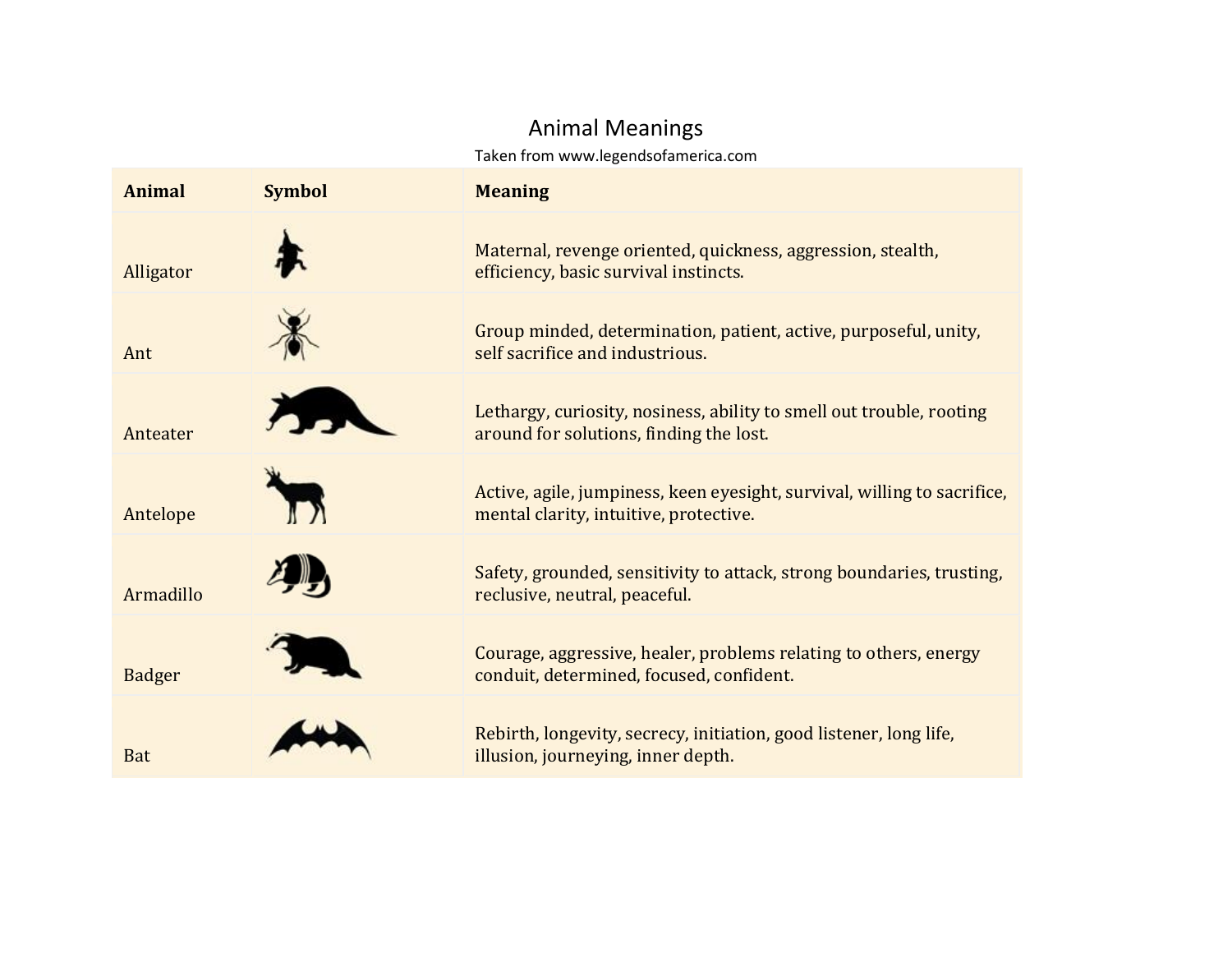## Animal Meanings

Taken from www.legendsofamerica.com

| <b>Animal</b> | <b>Symbol</b> | <b>Meaning</b>                                                                                                     |
|---------------|---------------|--------------------------------------------------------------------------------------------------------------------|
| Alligator     |               | Maternal, revenge oriented, quickness, aggression, stealth,<br>efficiency, basic survival instincts.               |
| Ant           |               | Group minded, determination, patient, active, purposeful, unity,<br>self sacrifice and industrious.                |
| Anteater      |               | Lethargy, curiosity, nosiness, ability to smell out trouble, rooting<br>around for solutions, finding the lost.    |
| Antelope      |               | Active, agile, jumpiness, keen eyesight, survival, willing to sacrifice,<br>mental clarity, intuitive, protective. |
| Armadillo     |               | Safety, grounded, sensitivity to attack, strong boundaries, trusting,<br>reclusive, neutral, peaceful.             |
| <b>Badger</b> |               | Courage, aggressive, healer, problems relating to others, energy<br>conduit, determined, focused, confident.       |
| <b>Bat</b>    |               | Rebirth, longevity, secrecy, initiation, good listener, long life,<br>illusion, journeying, inner depth.           |
|               |               |                                                                                                                    |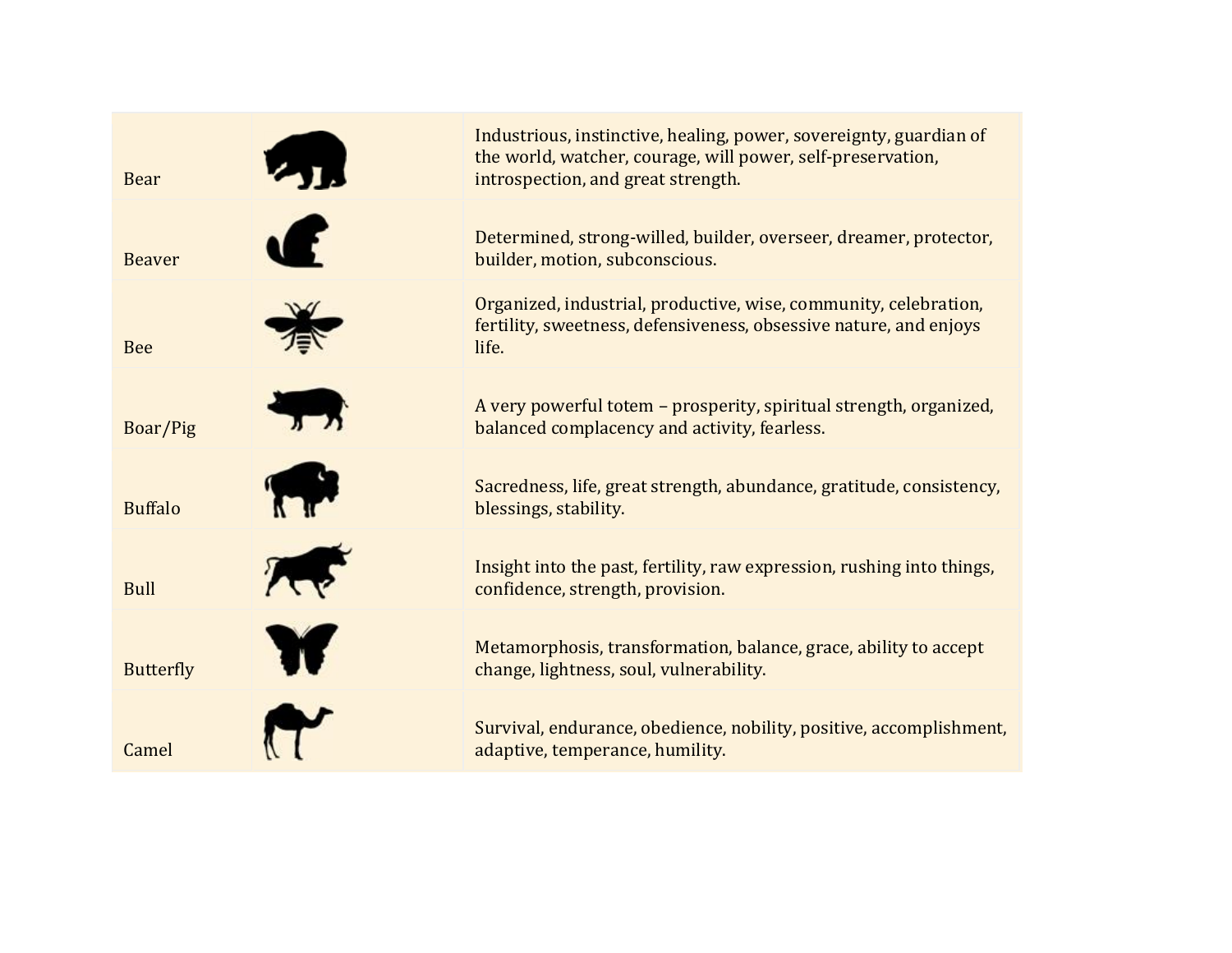

Industrious, instinctive, healing, power, sovereignty, guardian of the world, watcher, courage, will power, self-preservation, introspection, and great strength.

Determined, strong-willed, builder, overseer, dreamer, protector, builder, motion, subconscious.

Organized, industrial, productive, wise, community, celebration, fertility, sweetness, defensiveness, obsessive nature, and enjoys life.

A very powerful totem – prosperity, spiritual strength, organized, balanced complacency and activity, fearless.

Sacredness, life, great strength, abundance, gratitude, consistency, blessings, stability.

Insight into the past, fertility, raw expression, rushing into things, confidence, strength, provision.

Metamorphosis, transformation, balance, grace, ability to accept change, lightness, soul, vulnerability.

Survival, endurance, obedience, nobility, positive, accomplishment, adaptive, temperance, humility.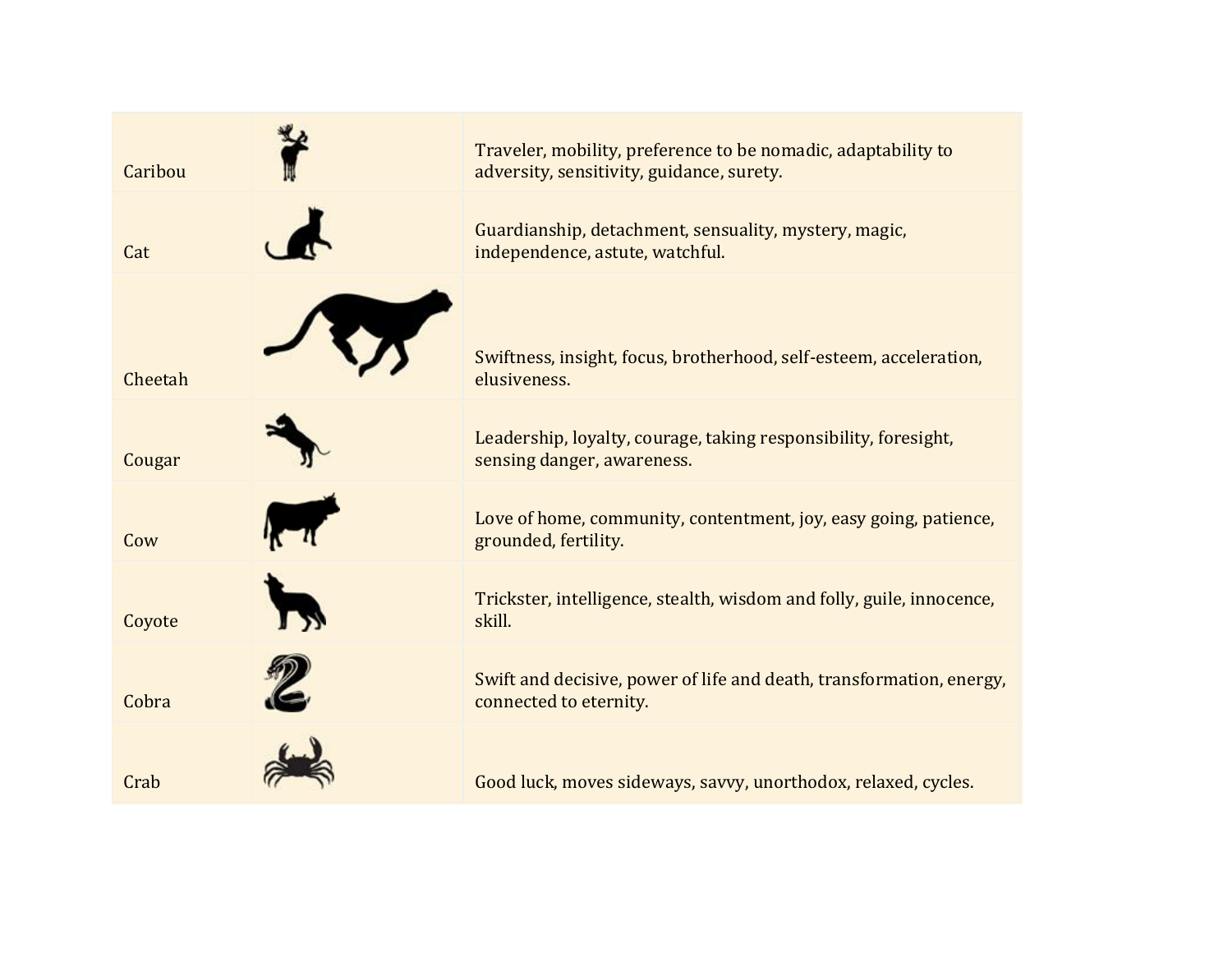

Traveler, mobility, preference to be nomadic, adaptability to adversity, sensitivity, guidance, surety.

Guardianship, detachment, sensuality, mystery, magic, independence, astute, watchful.

Swiftness, insight, focus, brotherhood, self-esteem, acceleration, elusiveness.

Leadership, loyalty, courage, taking responsibility, foresight, sensing danger, awareness.

Love of home, community, contentment, joy, easy going, patience, grounded, fertility.

Trickster, intelligence, stealth, wisdom and folly, guile, innocence, skill.

Swift and decisive, power of life and death, transformation, energy, connected to eternity.

Good luck, moves sideways, savvy, unorthodox, relaxed, cycles.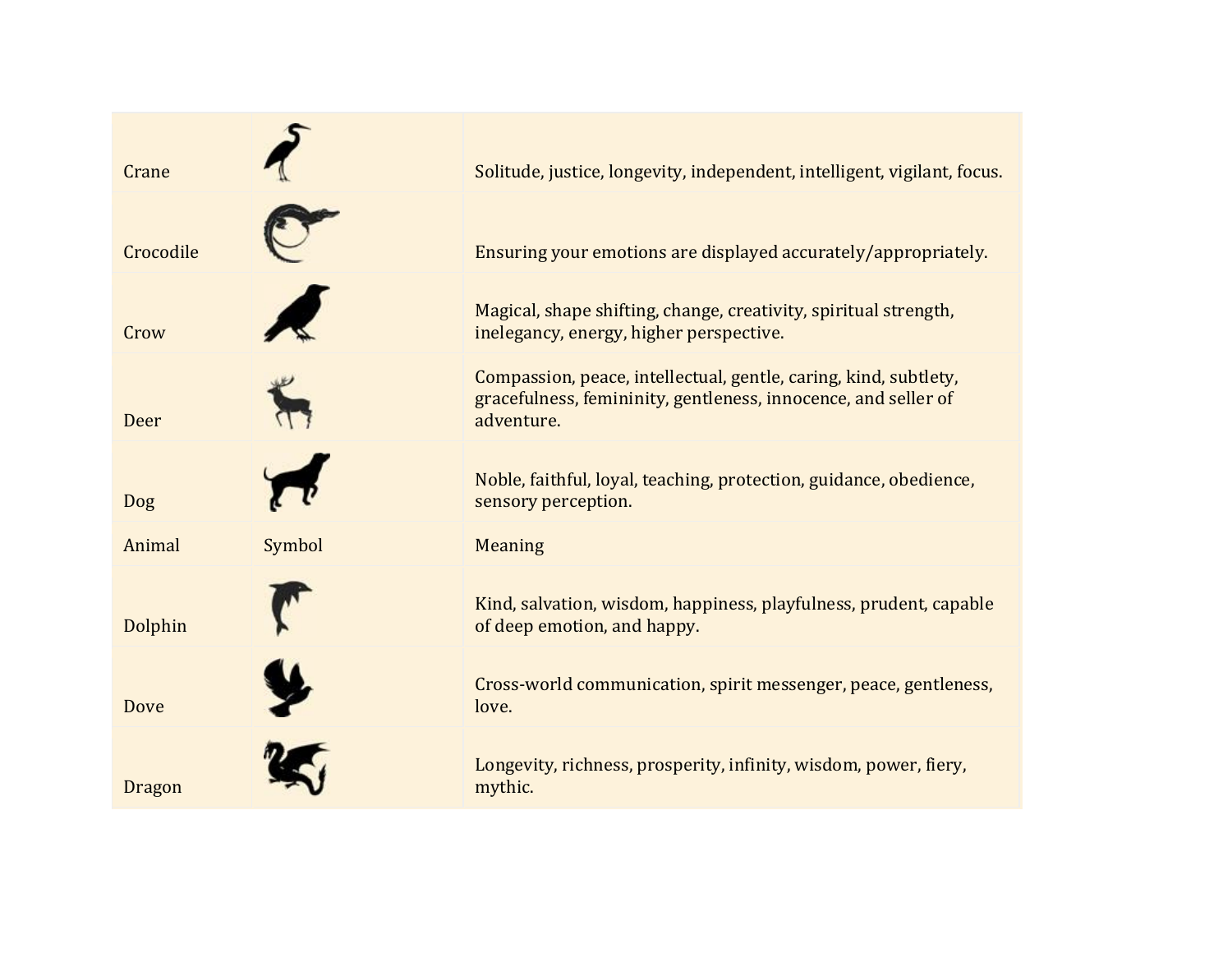

Crane **Solitude, justice, longevity, independent, intelligent, vigilant, focus.** Crane

Crocodile Ensuring your emotions are displayed accurately/appropriately.

Magical, shape shifting, change, creativity, spiritual strength, inelegancy, energy, higher perspective.

Compassion, peace, intellectual, gentle, caring, kind, subtlety, gracefulness, femininity, gentleness, innocence, and seller of adventure.

Noble, faithful, loyal, teaching, protection, guidance, obedience, sensory perception.

Kind, salvation, wisdom, happiness, playfulness, prudent, capable of deep emotion, and happy.

Cross-world communication, spirit messenger, peace, gentleness, love.

Longevity, richness, prosperity, infinity, wisdom, power, fiery, mythic.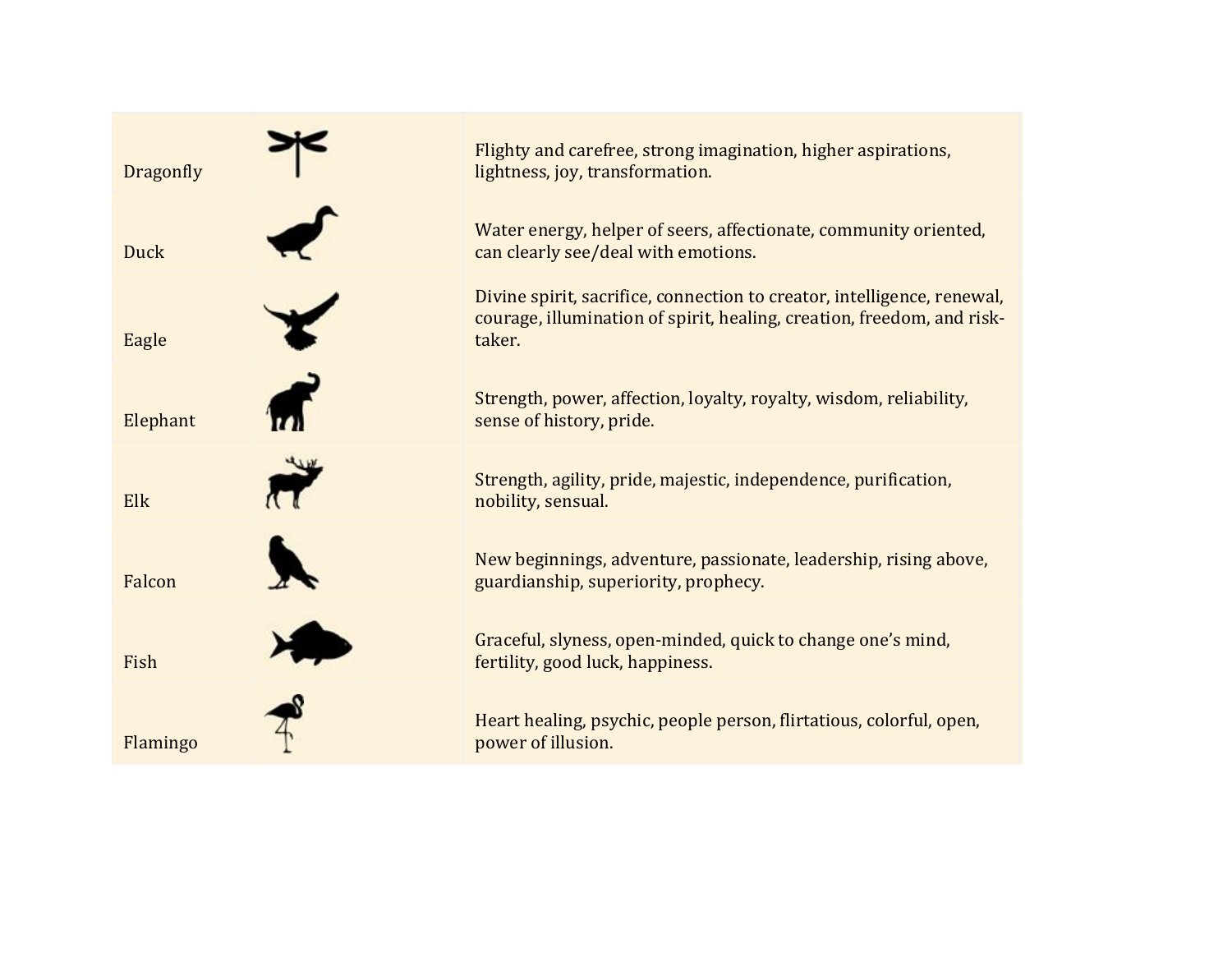

Flighty and carefree, strong imagination, higher aspirations, lightness, joy, transformation.

Water energy, helper of seers, affectionate, community oriented, can clearly see/deal with emotions.

Divine spirit, sacrifice, connection to creator, intelligence, renewal, courage, illumination of spirit, healing, creation, freedom, and risktaker.

Strength, power, affection, loyalty, royalty, wisdom, reliability, sense of history, pride.

Strength, agility, pride, majestic, independence, purification, nobility, sensual.

New beginnings, adventure, passionate, leadership, rising above, guardianship, superiority, prophecy.

Graceful, slyness, open-minded, quick to change one's mind, fertility, good luck, happiness.

Heart healing, psychic, people person, flirtatious, colorful, open, power of illusion.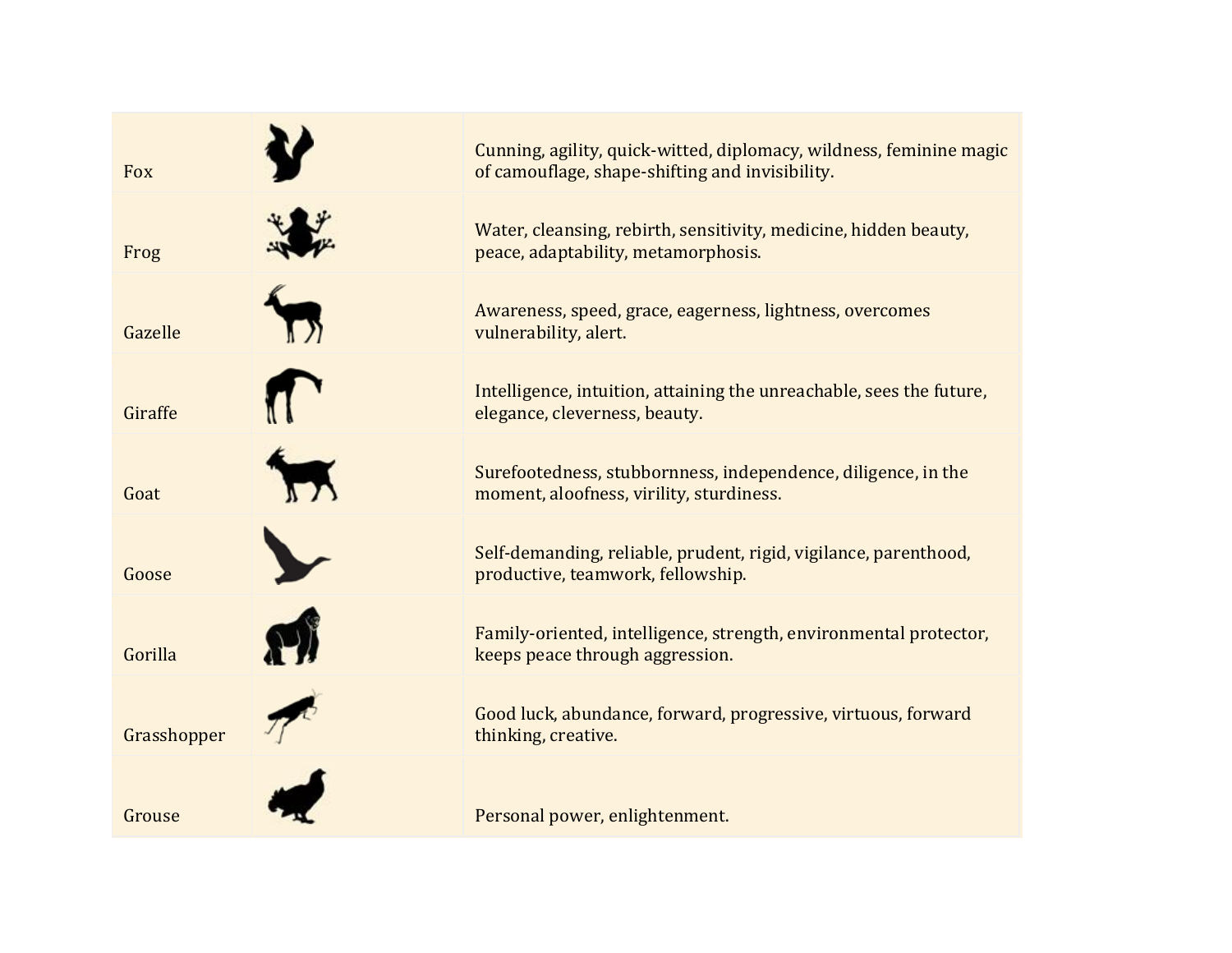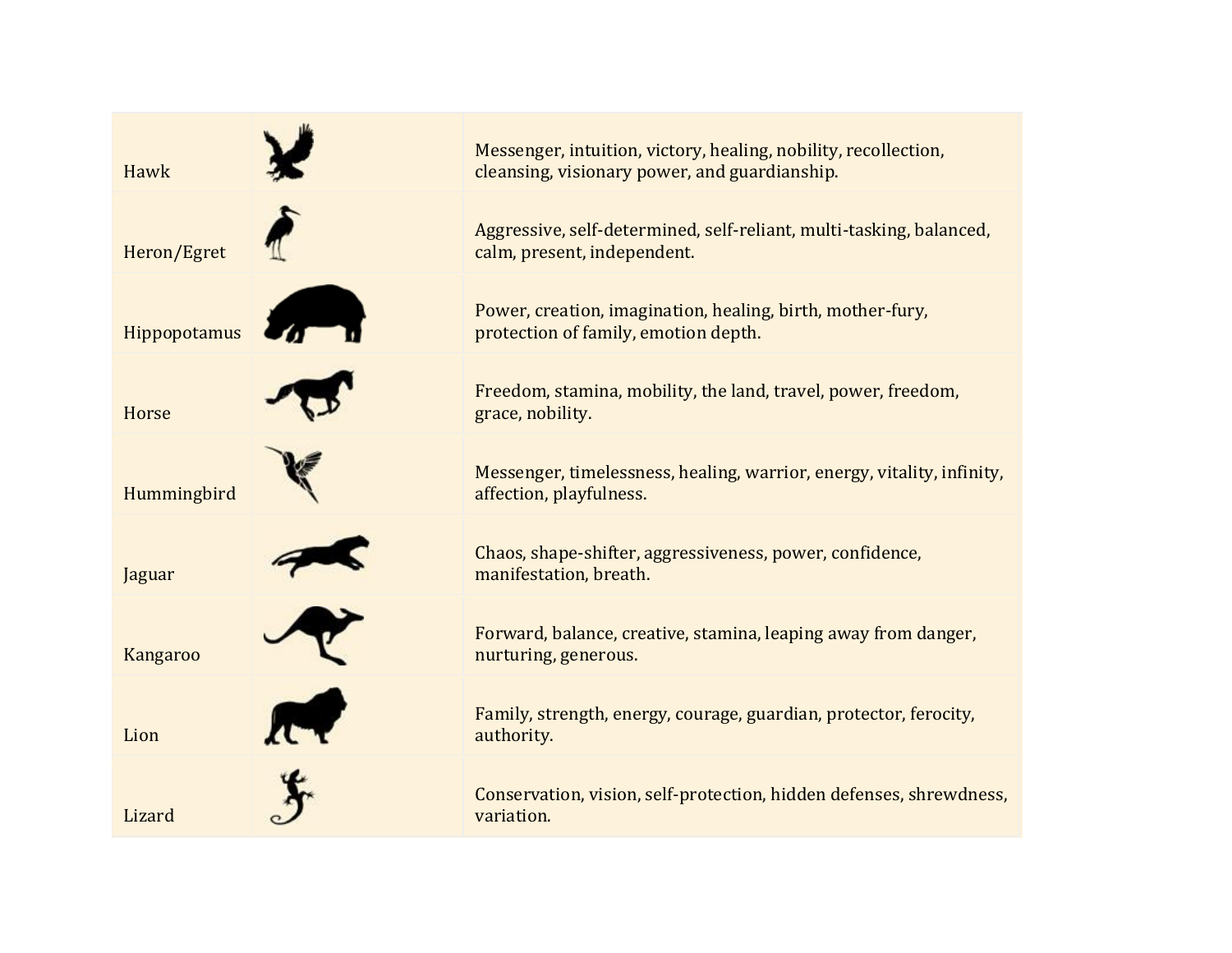

Messenger, intuition, victory, healing, nobility, recollection, cleansing, visionary power, and guardianship.

Aggressive, self-determined, self-reliant, multi-tasking, balanced, calm, present, independent.

Power, creation, imagination, healing, birth, mother-fury, protection of family, emotion depth.

Freedom, stamina, mobility, the land, travel, power, freedom, grace, nobility.

Messenger, timelessness, healing, warrior, energy, vitality, infinity, affection, playfulness.

Chaos, shape-shifter, aggressiveness, power, confidence, manifestation, breath.

Forward, balance, creative, stamina, leaping away from danger, nurturing, generous.

Family, strength, energy, courage, guardian, protector, ferocity, authority.

Conservation, vision, self-protection, hidden defenses, shrewdness, variation.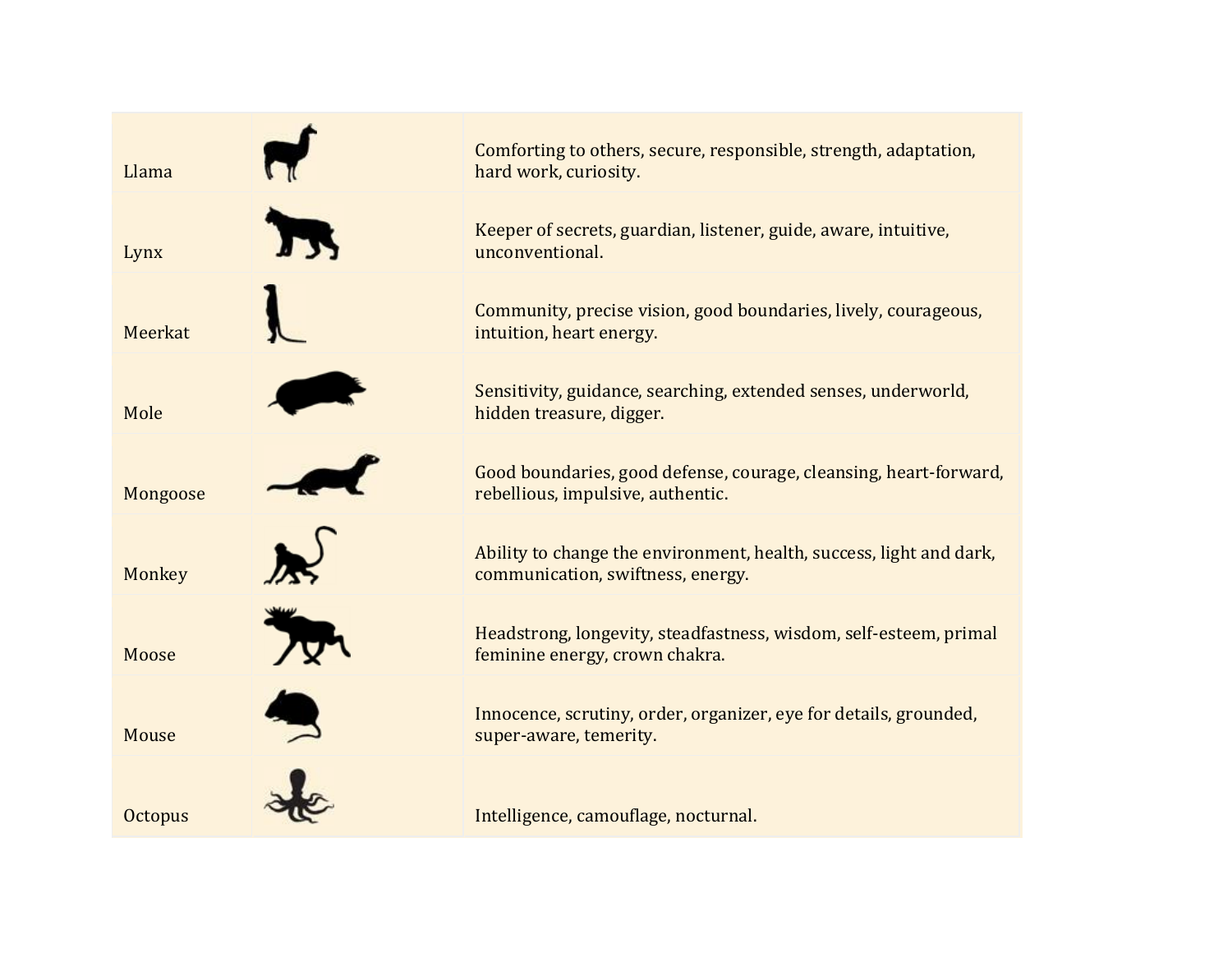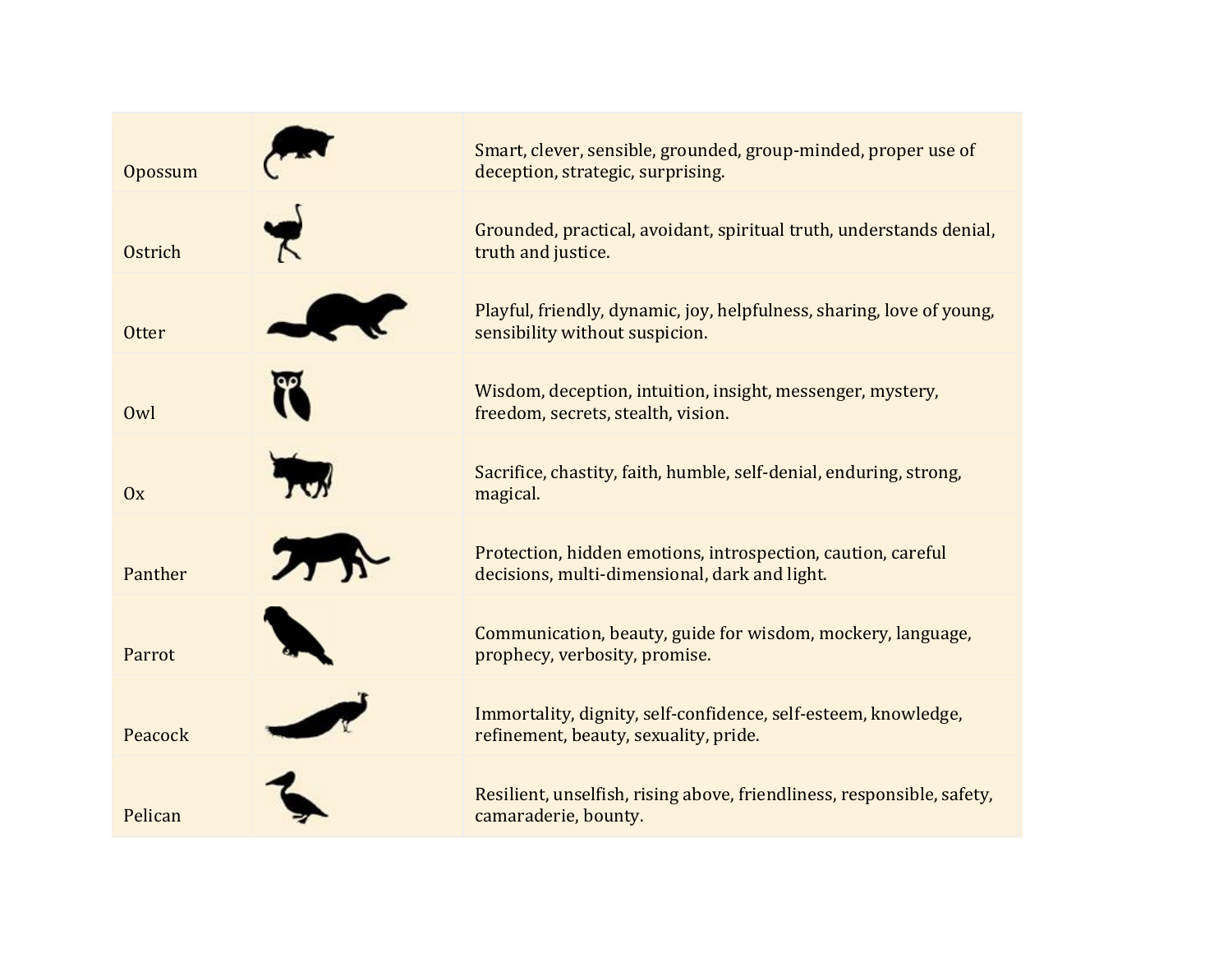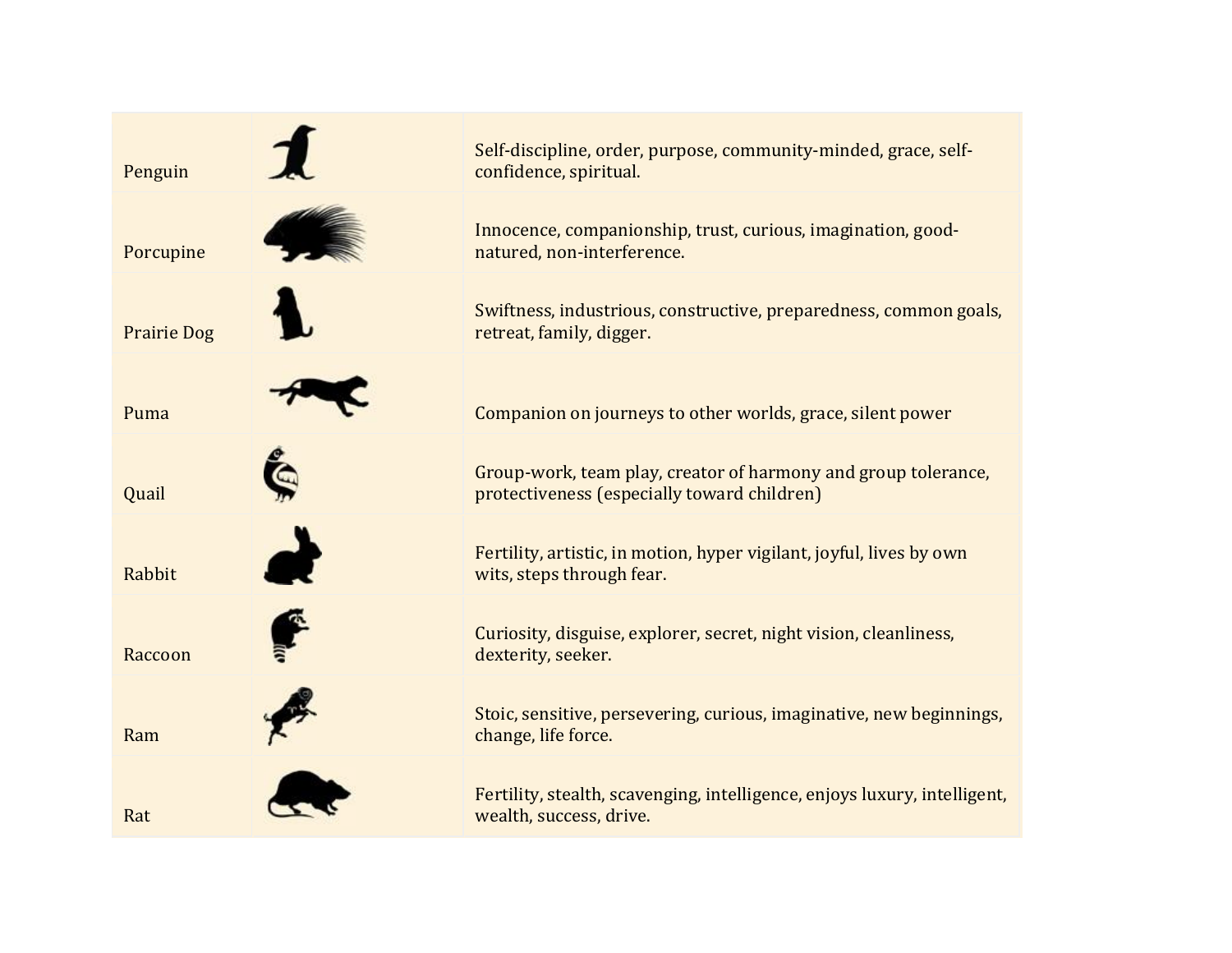

Self-discipline, order, purpose, community-minded, grace, selfconfidence, spiritual.

Innocence, companionship, trust, curious, imagination, goodnatured, non-interference.

Swiftness, industrious, constructive, preparedness, common goals, retreat, family, digger.

Puma Companion on journeys to other worlds, grace, silent power

Group-work, team play, creator of harmony and group tolerance, protectiveness (especially toward children)

Fertility, artistic, in motion, hyper vigilant, joyful, lives by own wits, steps through fear.

Curiosity, disguise, explorer, secret, night vision, cleanliness, dexterity, seeker.

Stoic, sensitive, persevering, curious, imaginative, new beginnings, change, life force.

Fertility, stealth, scavenging, intelligence, enjoys luxury, intelligent, wealth, success, drive.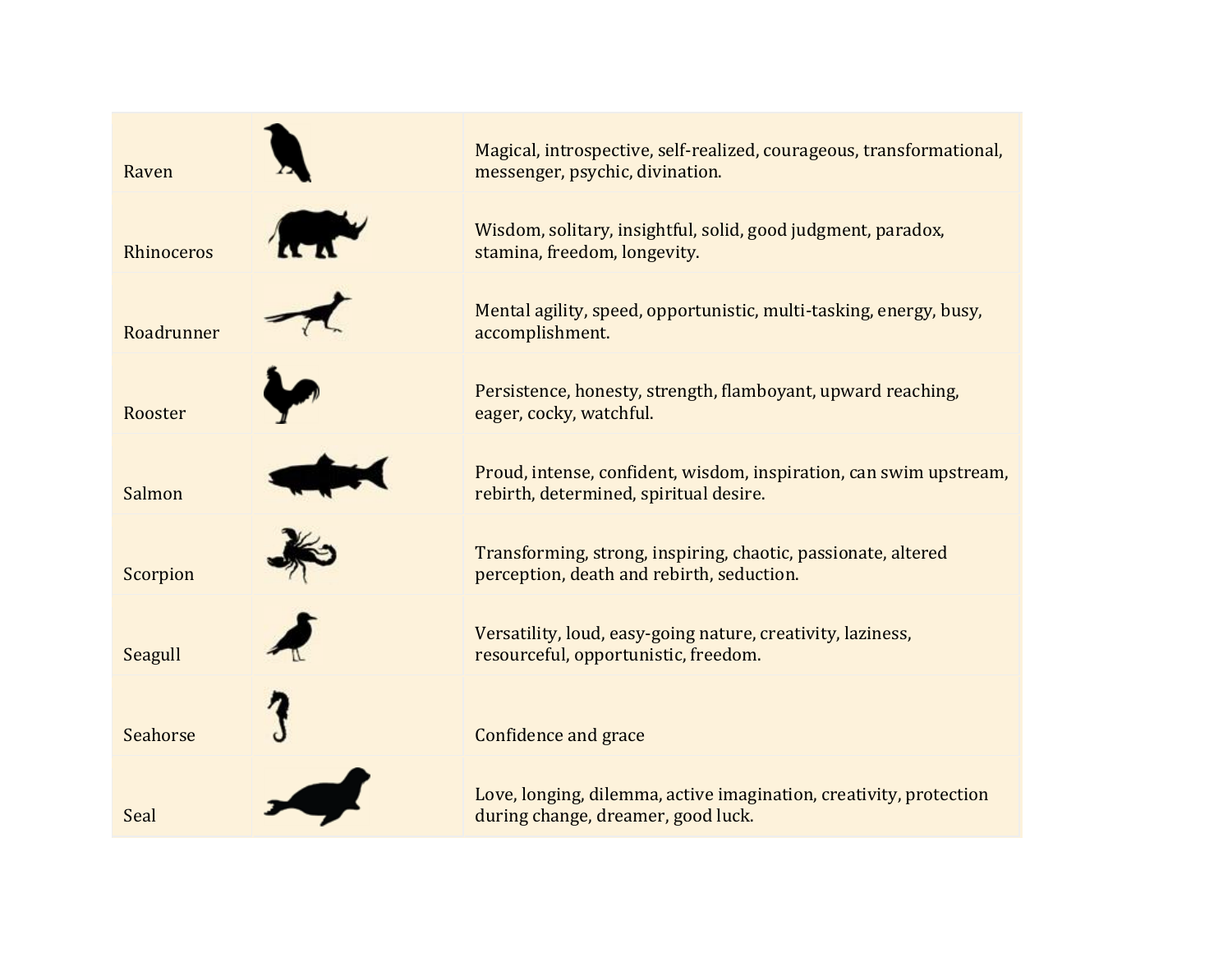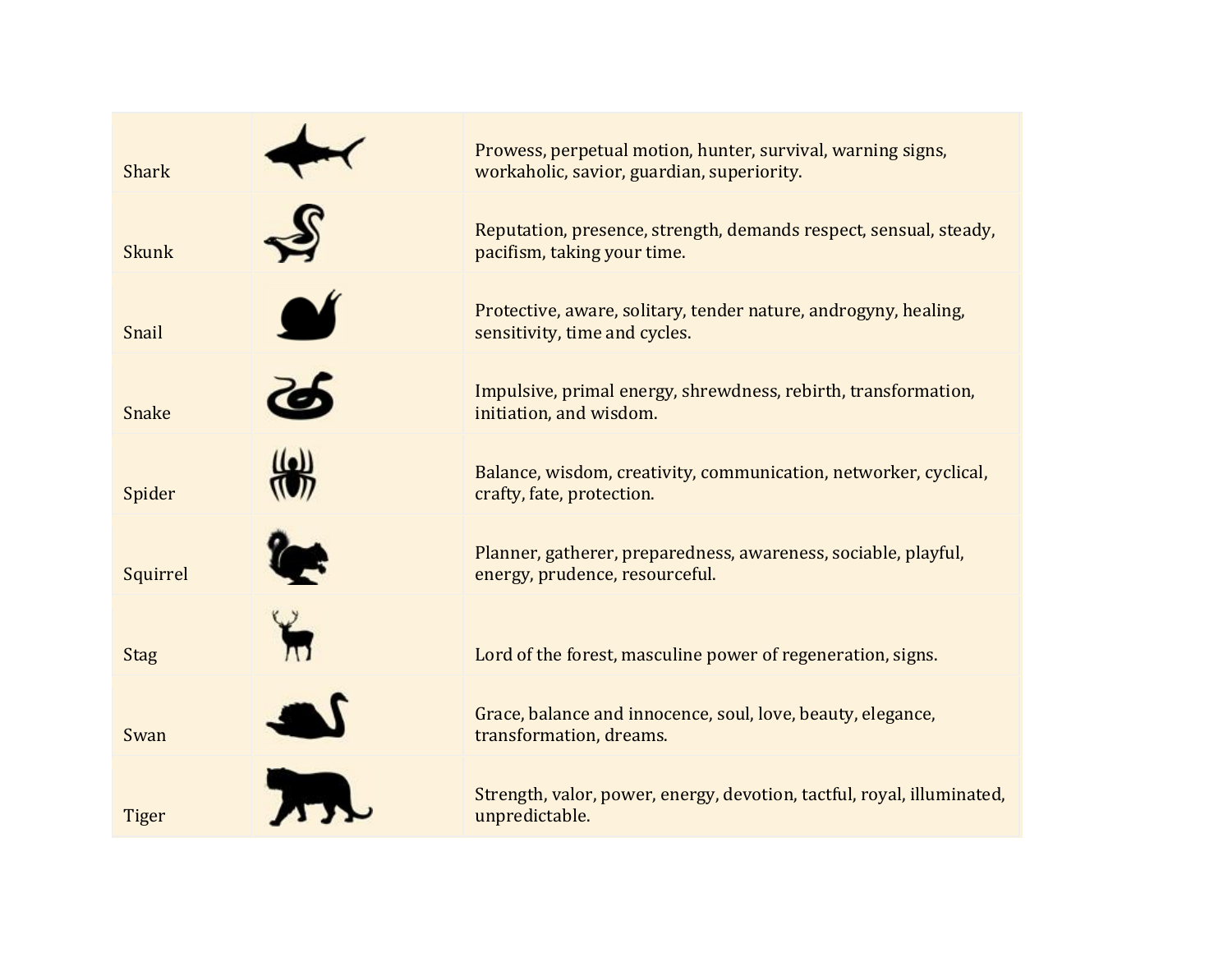